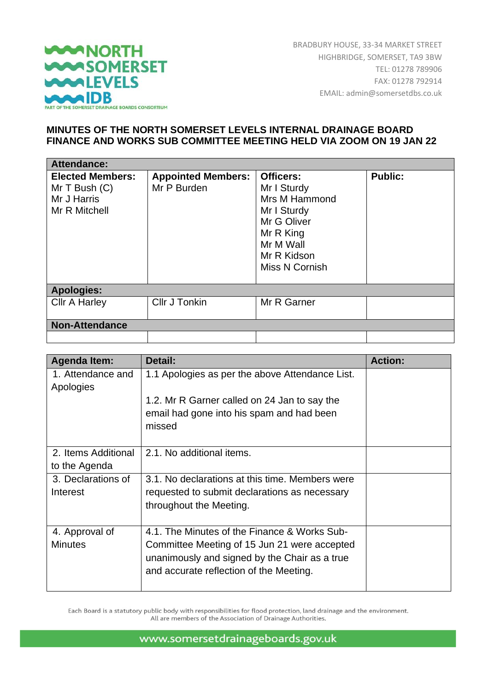

BRADBURY HOUSE, 33-34 MARKET STREET HIGHBRIDGE, SOMERSET, TA9 3BW TEL: 01278 789906 FAX: 01278 792914 EMAIL: admin@somersetdbs.co.uk

## **MINUTES OF THE NORTH SOMERSET LEVELS INTERNAL DRAINAGE BOARD FINANCE AND WORKS SUB COMMITTEE MEETING HELD VIA ZOOM ON 19 JAN 22**

| Attendance:                                                                  |                                          |                                                                                                                                           |                |  |
|------------------------------------------------------------------------------|------------------------------------------|-------------------------------------------------------------------------------------------------------------------------------------------|----------------|--|
| <b>Elected Members:</b><br>Mr $T$ Bush $(C)$<br>Mr J Harris<br>Mr R Mitchell | <b>Appointed Members:</b><br>Mr P Burden | <b>Officers:</b><br>Mr I Sturdy<br>Mrs M Hammond<br>Mr I Sturdy<br>Mr G Oliver<br>Mr R King<br>Mr M Wall<br>Mr R Kidson<br>Miss N Cornish | <b>Public:</b> |  |
| <b>Apologies:</b>                                                            |                                          |                                                                                                                                           |                |  |
| <b>Cllr A Harley</b>                                                         | Cllr J Tonkin                            | Mr R Garner                                                                                                                               |                |  |
| <b>Non-Attendance</b>                                                        |                                          |                                                                                                                                           |                |  |
|                                                                              |                                          |                                                                                                                                           |                |  |

| <b>Agenda Item:</b> | Detail:                                         | <b>Action:</b> |
|---------------------|-------------------------------------------------|----------------|
| 1. Attendance and   | 1.1 Apologies as per the above Attendance List. |                |
| Apologies           | 1.2. Mr R Garner called on 24 Jan to say the    |                |
|                     | email had gone into his spam and had been       |                |
|                     | missed                                          |                |
|                     |                                                 |                |
| 2. Items Additional | 2.1. No additional items.                       |                |
| to the Agenda       |                                                 |                |
| 3. Declarations of  | 3.1. No declarations at this time. Members were |                |
| Interest            | requested to submit declarations as necessary   |                |
|                     | throughout the Meeting.                         |                |
|                     |                                                 |                |
| 4. Approval of      | 4.1. The Minutes of the Finance & Works Sub-    |                |
| <b>Minutes</b>      | Committee Meeting of 15 Jun 21 were accepted    |                |
|                     | unanimously and signed by the Chair as a true   |                |
|                     | and accurate reflection of the Meeting.         |                |
|                     |                                                 |                |

Each Board is a statutory public body with responsibilities for flood protection, land drainage and the environment. All are members of the Association of Drainage Authorities.

www.somersetdrainageboards.gov.uk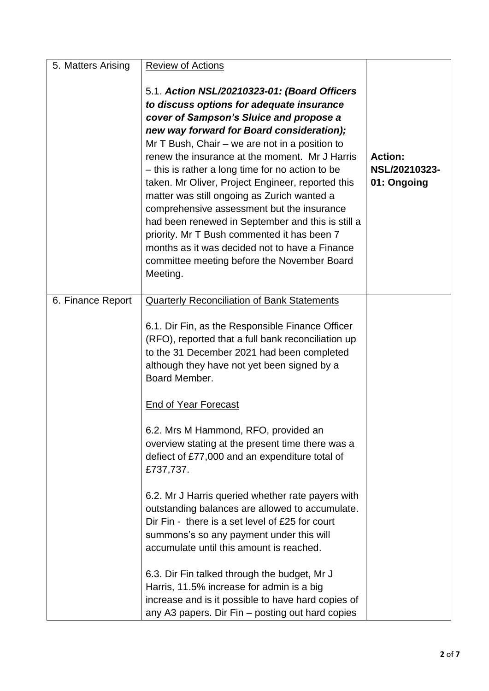| 5. Matters Arising | <b>Review of Actions</b>                                                                                                                                                                                                                                                                                                                                                                                                                                                                                                                                                                                                                                                                                       |                                                |
|--------------------|----------------------------------------------------------------------------------------------------------------------------------------------------------------------------------------------------------------------------------------------------------------------------------------------------------------------------------------------------------------------------------------------------------------------------------------------------------------------------------------------------------------------------------------------------------------------------------------------------------------------------------------------------------------------------------------------------------------|------------------------------------------------|
|                    | 5.1. Action NSL/20210323-01: (Board Officers<br>to discuss options for adequate insurance<br>cover of Sampson's Sluice and propose a<br>new way forward for Board consideration);<br>Mr $T$ Bush, Chair – we are not in a position to<br>renew the insurance at the moment. Mr J Harris<br>- this is rather a long time for no action to be<br>taken. Mr Oliver, Project Engineer, reported this<br>matter was still ongoing as Zurich wanted a<br>comprehensive assessment but the insurance<br>had been renewed in September and this is still a<br>priority. Mr T Bush commented it has been 7<br>months as it was decided not to have a Finance<br>committee meeting before the November Board<br>Meeting. | <b>Action:</b><br>NSL/20210323-<br>01: Ongoing |
| 6. Finance Report  | <b>Quarterly Reconciliation of Bank Statements</b>                                                                                                                                                                                                                                                                                                                                                                                                                                                                                                                                                                                                                                                             |                                                |
|                    | 6.1. Dir Fin, as the Responsible Finance Officer<br>(RFO), reported that a full bank reconciliation up<br>to the 31 December 2021 had been completed<br>although they have not yet been signed by a<br>Board Member.                                                                                                                                                                                                                                                                                                                                                                                                                                                                                           |                                                |
|                    | <b>End of Year Forecast</b>                                                                                                                                                                                                                                                                                                                                                                                                                                                                                                                                                                                                                                                                                    |                                                |
|                    | 6.2. Mrs M Hammond, RFO, provided an<br>overview stating at the present time there was a<br>defiect of £77,000 and an expenditure total of<br>£737,737.                                                                                                                                                                                                                                                                                                                                                                                                                                                                                                                                                        |                                                |
|                    | 6.2. Mr J Harris queried whether rate payers with<br>outstanding balances are allowed to accumulate.<br>Dir Fin - there is a set level of £25 for court<br>summons's so any payment under this will<br>accumulate until this amount is reached.                                                                                                                                                                                                                                                                                                                                                                                                                                                                |                                                |
|                    | 6.3. Dir Fin talked through the budget, Mr J<br>Harris, 11.5% increase for admin is a big<br>increase and is it possible to have hard copies of<br>any A3 papers. Dir Fin – posting out hard copies                                                                                                                                                                                                                                                                                                                                                                                                                                                                                                            |                                                |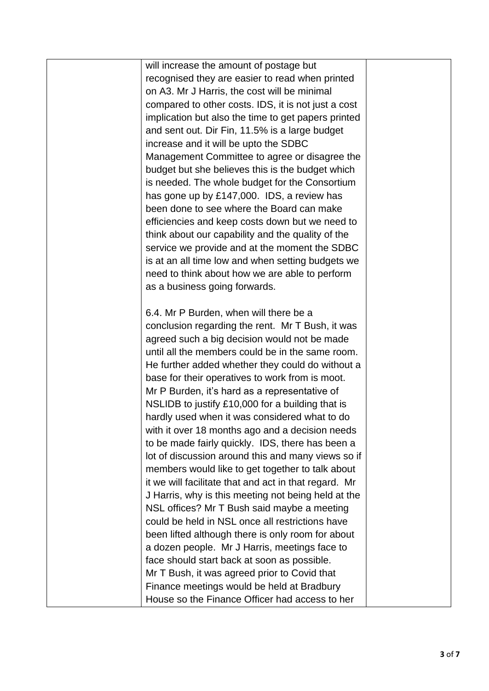| will increase the amount of postage but               |  |
|-------------------------------------------------------|--|
| recognised they are easier to read when printed       |  |
| on A3. Mr J Harris, the cost will be minimal          |  |
| compared to other costs. IDS, it is not just a cost   |  |
| implication but also the time to get papers printed   |  |
| and sent out. Dir Fin, 11.5% is a large budget        |  |
| increase and it will be upto the SDBC                 |  |
| Management Committee to agree or disagree the         |  |
| budget but she believes this is the budget which      |  |
| is needed. The whole budget for the Consortium        |  |
| has gone up by £147,000. IDS, a review has            |  |
| been done to see where the Board can make             |  |
| efficiencies and keep costs down but we need to       |  |
| think about our capability and the quality of the     |  |
| service we provide and at the moment the SDBC         |  |
| is at an all time low and when setting budgets we     |  |
| need to think about how we are able to perform        |  |
| as a business going forwards.                         |  |
|                                                       |  |
| 6.4. Mr P Burden, when will there be a                |  |
| conclusion regarding the rent. Mr T Bush, it was      |  |
| agreed such a big decision would not be made          |  |
| until all the members could be in the same room.      |  |
| He further added whether they could do without a      |  |
| base for their operatives to work from is moot.       |  |
| Mr P Burden, it's hard as a representative of         |  |
| NSLIDB to justify £10,000 for a building that is      |  |
| hardly used when it was considered what to do         |  |
| with it over 18 months ago and a decision needs       |  |
| to be made fairly quickly. IDS, there has been a      |  |
| lot of discussion around this and many views so if    |  |
| members would like to get together to talk about      |  |
| it we will facilitate that and act in that regard. Mr |  |
| J Harris, why is this meeting not being held at the   |  |
| NSL offices? Mr T Bush said maybe a meeting           |  |
| could be held in NSL once all restrictions have       |  |
| been lifted although there is only room for about     |  |
| a dozen people. Mr J Harris, meetings face to         |  |
| face should start back at soon as possible.           |  |
| Mr T Bush, it was agreed prior to Covid that          |  |
| Finance meetings would be held at Bradbury            |  |
| House so the Finance Officer had access to her        |  |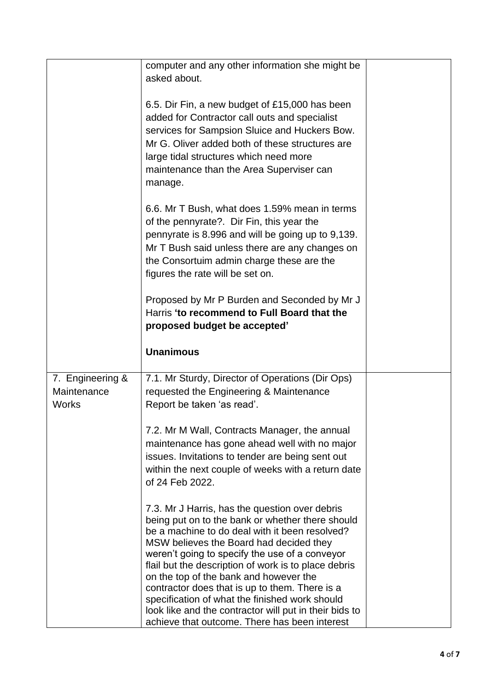|                                                 | computer and any other information she might be                                                                                                                                                                                                                                                           |  |
|-------------------------------------------------|-----------------------------------------------------------------------------------------------------------------------------------------------------------------------------------------------------------------------------------------------------------------------------------------------------------|--|
|                                                 | asked about.                                                                                                                                                                                                                                                                                              |  |
|                                                 |                                                                                                                                                                                                                                                                                                           |  |
|                                                 | 6.5. Dir Fin, a new budget of £15,000 has been<br>added for Contractor call outs and specialist<br>services for Sampsion Sluice and Huckers Bow.<br>Mr G. Oliver added both of these structures are<br>large tidal structures which need more<br>maintenance than the Area Superviser can<br>manage.      |  |
|                                                 | 6.6. Mr T Bush, what does 1.59% mean in terms<br>of the pennyrate?. Dir Fin, this year the<br>pennyrate is 8.996 and will be going up to 9,139.<br>Mr T Bush said unless there are any changes on<br>the Consortuim admin charge these are the<br>figures the rate will be set on.                        |  |
|                                                 | Proposed by Mr P Burden and Seconded by Mr J<br>Harris 'to recommend to Full Board that the<br>proposed budget be accepted'                                                                                                                                                                               |  |
|                                                 | <b>Unanimous</b>                                                                                                                                                                                                                                                                                          |  |
| 7. Engineering &<br>Maintenance<br><b>Works</b> | 7.1. Mr Sturdy, Director of Operations (Dir Ops)<br>requested the Engineering & Maintenance<br>Report be taken 'as read'.                                                                                                                                                                                 |  |
|                                                 | 7.2. Mr M Wall, Contracts Manager, the annual<br>maintenance has gone ahead well with no major<br>issues. Invitations to tender are being sent out<br>within the next couple of weeks with a return date<br>of 24 Feb 2022.                                                                               |  |
|                                                 | 7.3. Mr J Harris, has the question over debris<br>being put on to the bank or whether there should<br>be a machine to do deal with it been resolved?<br>MSW believes the Board had decided they<br>weren't going to specify the use of a conveyor<br>flail but the description of work is to place debris |  |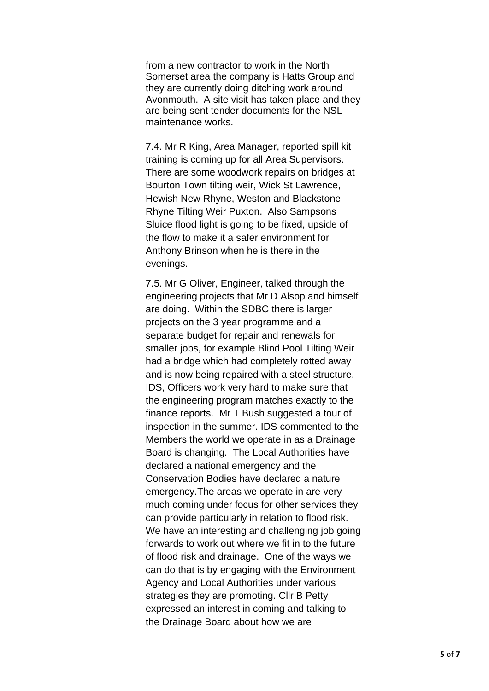| from a new contractor to work in the North<br>Somerset area the company is Hatts Group and<br>they are currently doing ditching work around<br>Avonmouth. A site visit has taken place and they<br>are being sent tender documents for the NSL<br>maintenance works.                                                                                                                                                                                                                                                                                                                                                                                                                                                                                                                                                                                                                                                                                                                                               |  |
|--------------------------------------------------------------------------------------------------------------------------------------------------------------------------------------------------------------------------------------------------------------------------------------------------------------------------------------------------------------------------------------------------------------------------------------------------------------------------------------------------------------------------------------------------------------------------------------------------------------------------------------------------------------------------------------------------------------------------------------------------------------------------------------------------------------------------------------------------------------------------------------------------------------------------------------------------------------------------------------------------------------------|--|
| 7.4. Mr R King, Area Manager, reported spill kit<br>training is coming up for all Area Supervisors.<br>There are some woodwork repairs on bridges at<br>Bourton Town tilting weir, Wick St Lawrence,<br>Hewish New Rhyne, Weston and Blackstone<br>Rhyne Tilting Weir Puxton. Also Sampsons<br>Sluice flood light is going to be fixed, upside of<br>the flow to make it a safer environment for<br>Anthony Brinson when he is there in the<br>evenings.                                                                                                                                                                                                                                                                                                                                                                                                                                                                                                                                                           |  |
| 7.5. Mr G Oliver, Engineer, talked through the<br>engineering projects that Mr D Alsop and himself<br>are doing. Within the SDBC there is larger<br>projects on the 3 year programme and a<br>separate budget for repair and renewals for<br>smaller jobs, for example Blind Pool Tilting Weir<br>had a bridge which had completely rotted away<br>and is now being repaired with a steel structure.<br>IDS, Officers work very hard to make sure that<br>the engineering program matches exactly to the<br>finance reports. Mr T Bush suggested a tour of<br>inspection in the summer. IDS commented to the<br>Members the world we operate in as a Drainage<br>Board is changing. The Local Authorities have<br>declared a national emergency and the<br>Conservation Bodies have declared a nature<br>emergency. The areas we operate in are very<br>much coming under focus for other services they<br>can provide particularly in relation to flood risk.<br>We have an interesting and challenging job going |  |
| forwards to work out where we fit in to the future<br>of flood risk and drainage. One of the ways we<br>can do that is by engaging with the Environment<br>Agency and Local Authorities under various<br>strategies they are promoting. Cllr B Petty<br>expressed an interest in coming and talking to<br>the Drainage Board about how we are                                                                                                                                                                                                                                                                                                                                                                                                                                                                                                                                                                                                                                                                      |  |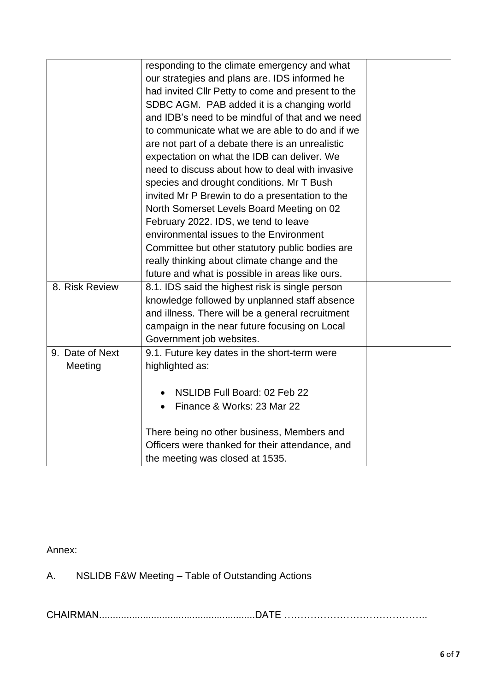|                 | responding to the climate emergency and what      |  |
|-----------------|---------------------------------------------------|--|
|                 | our strategies and plans are. IDS informed he     |  |
|                 | had invited Cllr Petty to come and present to the |  |
|                 | SDBC AGM. PAB added it is a changing world        |  |
|                 | and IDB's need to be mindful of that and we need  |  |
|                 | to communicate what we are able to do and if we   |  |
|                 | are not part of a debate there is an unrealistic  |  |
|                 | expectation on what the IDB can deliver. We       |  |
|                 | need to discuss about how to deal with invasive   |  |
|                 | species and drought conditions. Mr T Bush         |  |
|                 | invited Mr P Brewin to do a presentation to the   |  |
|                 | North Somerset Levels Board Meeting on 02         |  |
|                 | February 2022. IDS, we tend to leave              |  |
|                 | environmental issues to the Environment           |  |
|                 | Committee but other statutory public bodies are   |  |
|                 | really thinking about climate change and the      |  |
|                 | future and what is possible in areas like ours.   |  |
| 8. Risk Review  | 8.1. IDS said the highest risk is single person   |  |
|                 | knowledge followed by unplanned staff absence     |  |
|                 | and illness. There will be a general recruitment  |  |
|                 | campaign in the near future focusing on Local     |  |
|                 | Government job websites.                          |  |
| 9. Date of Next | 9.1. Future key dates in the short-term were      |  |
| Meeting         | highlighted as:                                   |  |
|                 |                                                   |  |
|                 | NSLIDB Full Board: 02 Feb 22                      |  |
|                 | Finance & Works: 23 Mar 22                        |  |
|                 |                                                   |  |
|                 | There being no other business, Members and        |  |
|                 | Officers were thanked for their attendance, and   |  |
|                 | the meeting was closed at 1535.                   |  |

## Annex:

A. NSLIDB F&W Meeting – Table of Outstanding Actions

CHAIRMAN.........................................................DATE ……………………………………..